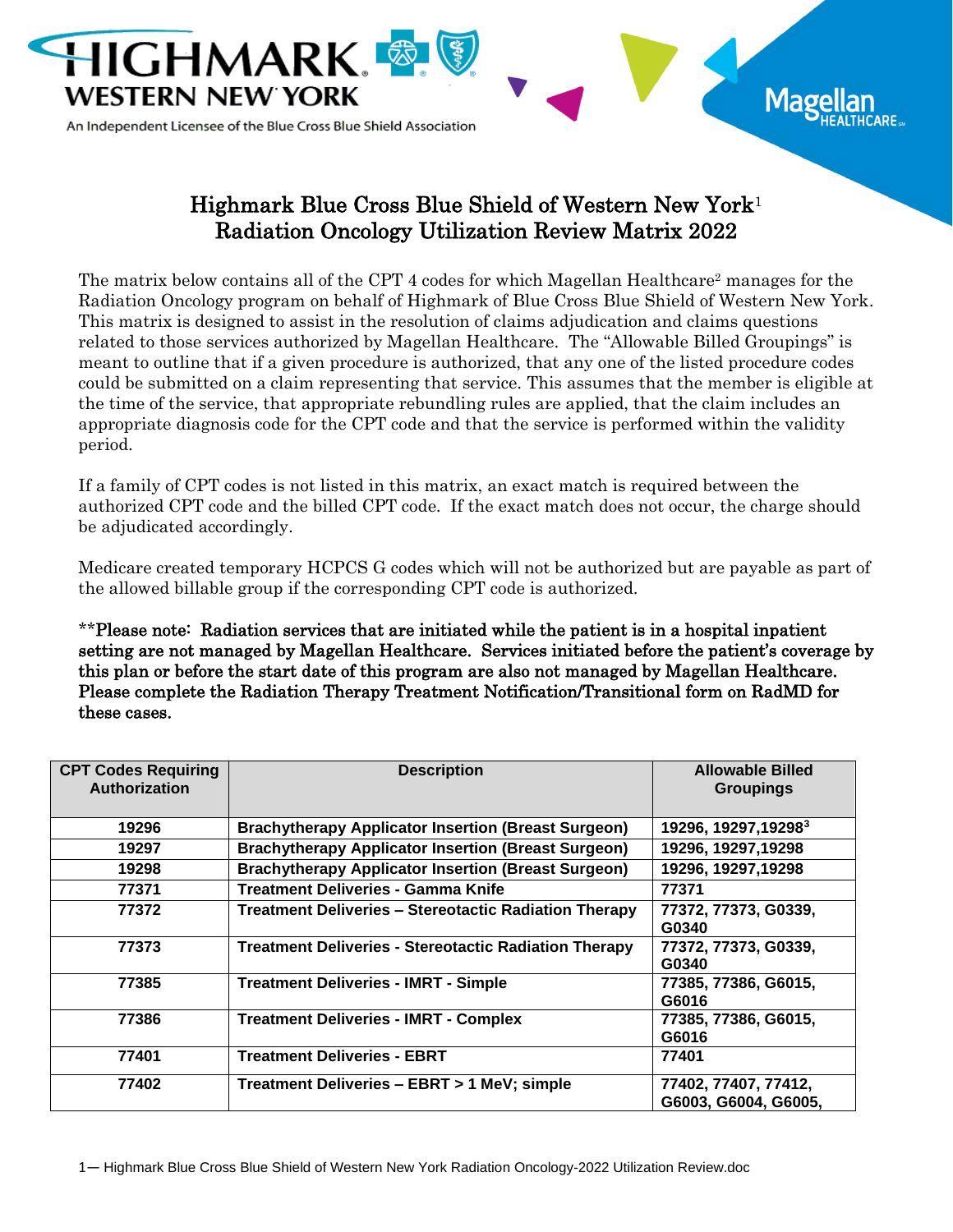

An Independent Licensee of the Blue Cross Blue Shield Association

## Highmark Blue Cross Blue Shield of Western New York<sup>1</sup> Radiation Oncology Utilization Review Matrix 2022

Mag

The matrix below contains all of the CPT 4 codes for which Magellan Healthcare<sup>2</sup> manages for the Radiation Oncology program on behalf of Highmark of Blue Cross Blue Shield of Western New York. This matrix is designed to assist in the resolution of claims adjudication and claims questions related to those services authorized by Magellan Healthcare. The "Allowable Billed Groupings" is meant to outline that if a given procedure is authorized, that any one of the listed procedure codes could be submitted on a claim representing that service. This assumes that the member is eligible at the time of the service, that appropriate rebundling rules are applied, that the claim includes an appropriate diagnosis code for the CPT code and that the service is performed within the validity period.

If a family of CPT codes is not listed in this matrix, an exact match is required between the authorized CPT code and the billed CPT code. If the exact match does not occur, the charge should be adjudicated accordingly.

Medicare created temporary HCPCS G codes which will not be authorized but are payable as part of the allowed billable group if the corresponding CPT code is authorized.

\*\*Please note: Radiation services that are initiated while the patient is in a hospital inpatient setting are not managed by Magellan Healthcare. Services initiated before the patient's coverage by this plan or before the start date of this program are also not managed by Magellan Healthcare. Please complete the Radiation Therapy Treatment Notification/Transitional form on RadMD for these cases.

| <b>CPT Codes Requiring</b><br><b>Authorization</b> | <b>Description</b>                                           | <b>Allowable Billed</b><br><b>Groupings</b>  |
|----------------------------------------------------|--------------------------------------------------------------|----------------------------------------------|
| 19296                                              | <b>Brachytherapy Applicator Insertion (Breast Surgeon)</b>   | 19296, 19297, 192983                         |
| 19297                                              | <b>Brachytherapy Applicator Insertion (Breast Surgeon)</b>   | 19296, 19297, 19298                          |
| 19298                                              | <b>Brachytherapy Applicator Insertion (Breast Surgeon)</b>   | 19296, 19297, 19298                          |
| 77371                                              | <b>Treatment Deliveries - Gamma Knife</b>                    | 77371                                        |
| 77372                                              | <b>Treatment Deliveries - Stereotactic Radiation Therapy</b> | 77372, 77373, G0339,<br>G0340                |
| 77373                                              | <b>Treatment Deliveries - Stereotactic Radiation Therapy</b> | 77372, 77373, G0339,<br>G0340                |
| 77385                                              | <b>Treatment Deliveries - IMRT - Simple</b>                  | 77385, 77386, G6015,<br>G6016                |
| 77386                                              | <b>Treatment Deliveries - IMRT - Complex</b>                 | 77385, 77386, G6015,<br>G6016                |
| 77401                                              | <b>Treatment Deliveries - EBRT</b>                           | 77401                                        |
| 77402                                              | Treatment Deliveries - EBRT > 1 MeV; simple                  | 77402, 77407, 77412,<br>G6003, G6004, G6005, |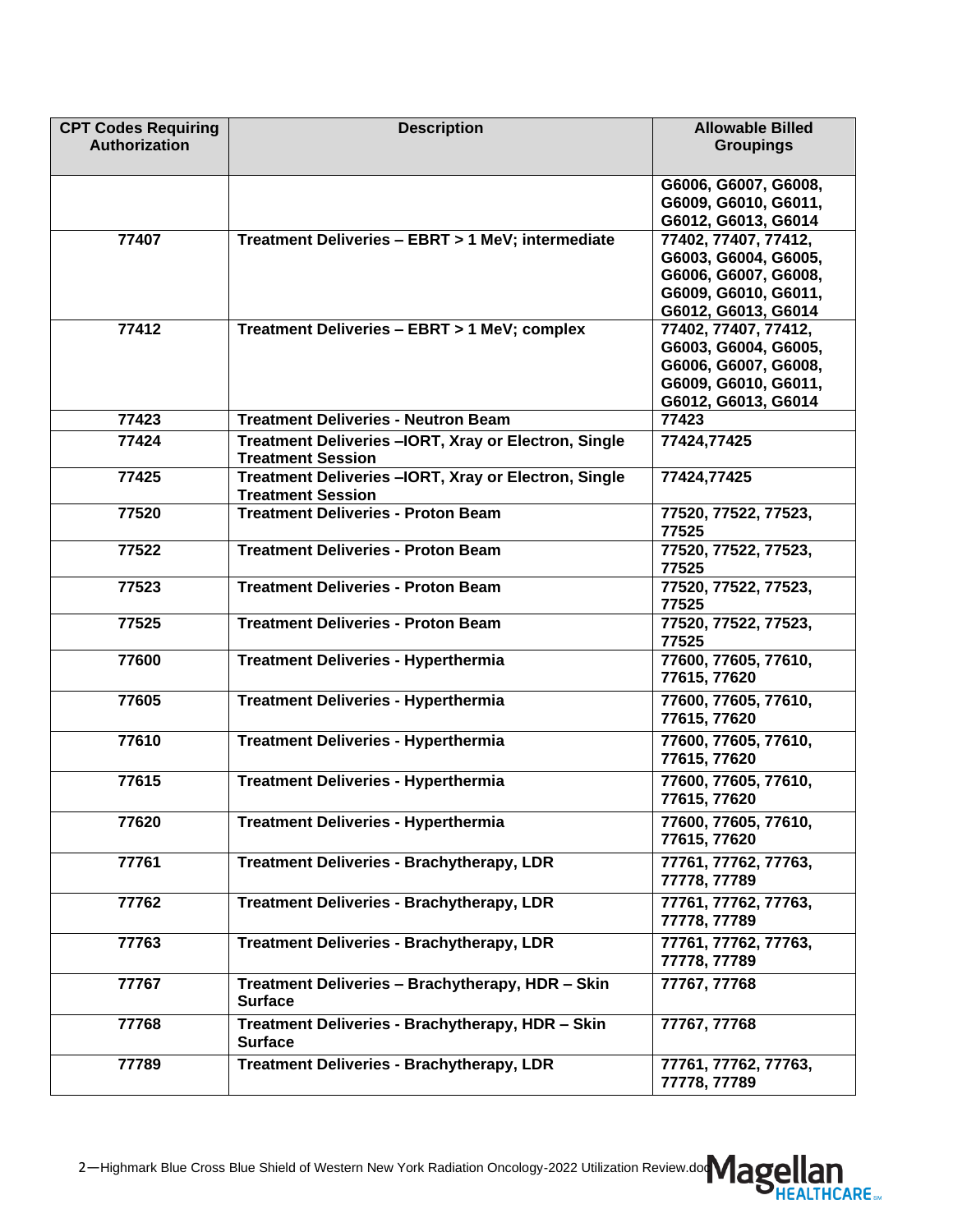| <b>CPT Codes Requiring</b> | <b>Description</b>                                    | <b>Allowable Billed</b>              |
|----------------------------|-------------------------------------------------------|--------------------------------------|
| <b>Authorization</b>       |                                                       | <b>Groupings</b>                     |
|                            |                                                       |                                      |
|                            |                                                       | G6006, G6007, G6008,                 |
|                            |                                                       | G6009, G6010, G6011,                 |
|                            |                                                       | G6012, G6013, G6014                  |
| 77407                      | Treatment Deliveries - EBRT > 1 MeV; intermediate     | 77402, 77407, 77412,                 |
|                            |                                                       | G6003, G6004, G6005,                 |
|                            |                                                       | G6006, G6007, G6008,                 |
|                            |                                                       | G6009, G6010, G6011,                 |
|                            |                                                       | G6012, G6013, G6014                  |
| 77412                      | Treatment Deliveries - EBRT > 1 MeV; complex          | 77402, 77407, 77412,                 |
|                            |                                                       | G6003, G6004, G6005,                 |
|                            |                                                       | G6006, G6007, G6008,                 |
|                            |                                                       | G6009, G6010, G6011,                 |
|                            |                                                       | G6012, G6013, G6014                  |
| 77423                      | <b>Treatment Deliveries - Neutron Beam</b>            | 77423                                |
| 77424                      | Treatment Deliveries - IORT, Xray or Electron, Single | 77424,77425                          |
|                            | <b>Treatment Session</b>                              |                                      |
| 77425                      | Treatment Deliveries - IORT, Xray or Electron, Single | 77424,77425                          |
|                            | <b>Treatment Session</b>                              |                                      |
| 77520                      | <b>Treatment Deliveries - Proton Beam</b>             | 77520, 77522, 77523,                 |
|                            |                                                       | 77525                                |
| 77522                      | <b>Treatment Deliveries - Proton Beam</b>             | 77520, 77522, 77523,                 |
|                            |                                                       | 77525                                |
| 77523                      | <b>Treatment Deliveries - Proton Beam</b>             | 77520, 77522, 77523,                 |
|                            |                                                       | 77525                                |
| 77525                      | <b>Treatment Deliveries - Proton Beam</b>             | 77520, 77522, 77523,                 |
|                            |                                                       | 77525                                |
| 77600                      | <b>Treatment Deliveries - Hyperthermia</b>            | 77600, 77605, 77610,                 |
|                            |                                                       | 77615, 77620                         |
| 77605                      | <b>Treatment Deliveries - Hyperthermia</b>            | 77600, 77605, 77610,                 |
|                            |                                                       | 77615, 77620                         |
| 77610                      | <b>Treatment Deliveries - Hyperthermia</b>            |                                      |
|                            |                                                       | 77600, 77605, 77610,<br>77615, 77620 |
|                            |                                                       |                                      |
| 77615                      | <b>Treatment Deliveries - Hyperthermia</b>            | 77600, 77605, 77610,                 |
|                            |                                                       | 77615, 77620                         |
| 77620                      | <b>Treatment Deliveries - Hyperthermia</b>            | 77600, 77605, 77610,                 |
|                            |                                                       | 77615, 77620                         |
| 77761                      | <b>Treatment Deliveries - Brachytherapy, LDR</b>      | 77761, 77762, 77763,                 |
|                            |                                                       | 77778, 77789                         |
| 77762                      | <b>Treatment Deliveries - Brachytherapy, LDR</b>      | 77761, 77762, 77763,                 |
|                            |                                                       | 77778, 77789                         |
| 77763                      | <b>Treatment Deliveries - Brachytherapy, LDR</b>      | 77761, 77762, 77763,                 |
|                            |                                                       | 77778, 77789                         |
|                            |                                                       |                                      |
| 77767                      | Treatment Deliveries - Brachytherapy, HDR - Skin      | 77767, 77768                         |
|                            | <b>Surface</b>                                        |                                      |
| 77768                      | Treatment Deliveries - Brachytherapy, HDR - Skin      | 77767, 77768                         |
|                            | <b>Surface</b>                                        |                                      |
| 77789                      | <b>Treatment Deliveries - Brachytherapy, LDR</b>      | 77761, 77762, 77763,                 |
|                            |                                                       | 77778, 77789                         |